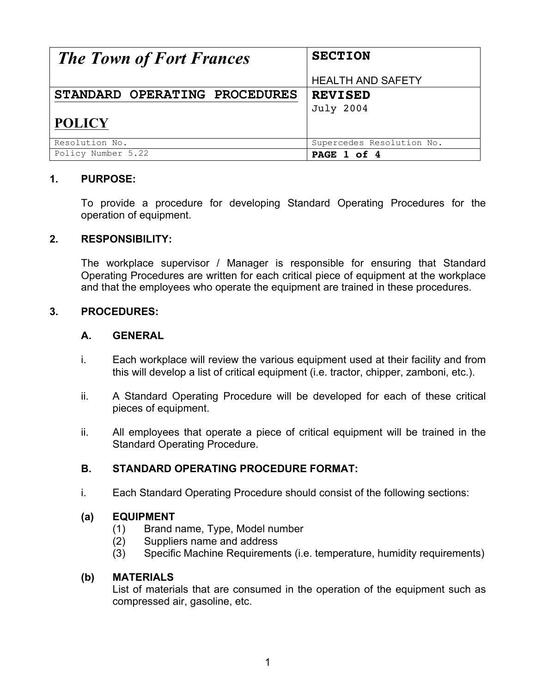| <b>The Town of Fort Frances</b> | <b>SECTION</b>            |
|---------------------------------|---------------------------|
|                                 | <b>HEALTH AND SAFETY</b>  |
| STANDARD OPERATING PROCEDURES   | <b>REVISED</b>            |
|                                 | <b>July 2004</b>          |
| <b>POLICY</b>                   |                           |
| Resolution No.                  | Supercedes Resolution No. |
| Policy Number 5.22              | PAGE 1 of 4               |

### **1. PURPOSE:**

To provide a procedure for developing Standard Operating Procedures for the operation of equipment.

#### **2. RESPONSIBILITY:**

The workplace supervisor / Manager is responsible for ensuring that Standard Operating Procedures are written for each critical piece of equipment at the workplace and that the employees who operate the equipment are trained in these procedures.

#### **3. PROCEDURES:**

#### **A. GENERAL**

- i. Each workplace will review the various equipment used at their facility and from this will develop a list of critical equipment (i.e. tractor, chipper, zamboni, etc.).
- ii. A Standard Operating Procedure will be developed for each of these critical pieces of equipment.
- ii. All employees that operate a piece of critical equipment will be trained in the Standard Operating Procedure.

### **B. STANDARD OPERATING PROCEDURE FORMAT:**

i. Each Standard Operating Procedure should consist of the following sections:

### **(a) EQUIPMENT**

- (1) Brand name, Type, Model number
- (2) Suppliers name and address
- (3) Specific Machine Requirements (i.e. temperature, humidity requirements)

#### **(b) MATERIALS**

List of materials that are consumed in the operation of the equipment such as compressed air, gasoline, etc.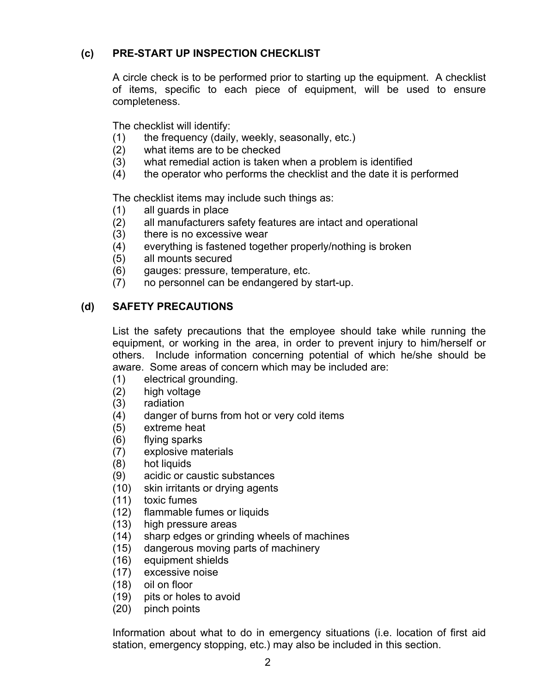# **(c) PRE-START UP INSPECTION CHECKLIST**

A circle check is to be performed prior to starting up the equipment. A checklist of items, specific to each piece of equipment, will be used to ensure completeness.

The checklist will identify:

- (1) the frequency (daily, weekly, seasonally, etc.)
- (2) what items are to be checked
- (3) what remedial action is taken when a problem is identified
- (4) the operator who performs the checklist and the date it is performed

The checklist items may include such things as:

- (1) all guards in place
- (2) all manufacturers safety features are intact and operational
- (3) there is no excessive wear
- (4) everything is fastened together properly/nothing is broken
- (5) all mounts secured
- (6) gauges: pressure, temperature, etc.
- (7) no personnel can be endangered by start-up.

## **(d) SAFETY PRECAUTIONS**

List the safety precautions that the employee should take while running the equipment, or working in the area, in order to prevent injury to him/herself or others. Include information concerning potential of which he/she should be aware. Some areas of concern which may be included are:

- (1) electrical grounding.
- (2) high voltage
- (3) radiation
- (4) danger of burns from hot or very cold items
- (5) extreme heat
- (6) flying sparks
- (7) explosive materials
- (8) hot liquids
- (9) acidic or caustic substances
- (10) skin irritants or drying agents
- (11) toxic fumes
- (12) flammable fumes or liquids
- (13) high pressure areas
- (14) sharp edges or grinding wheels of machines
- (15) dangerous moving parts of machinery
- (16) equipment shields
- (17) excessive noise
- (18) oil on floor
- (19) pits or holes to avoid
- (20) pinch points

Information about what to do in emergency situations (i.e. location of first aid station, emergency stopping, etc.) may also be included in this section.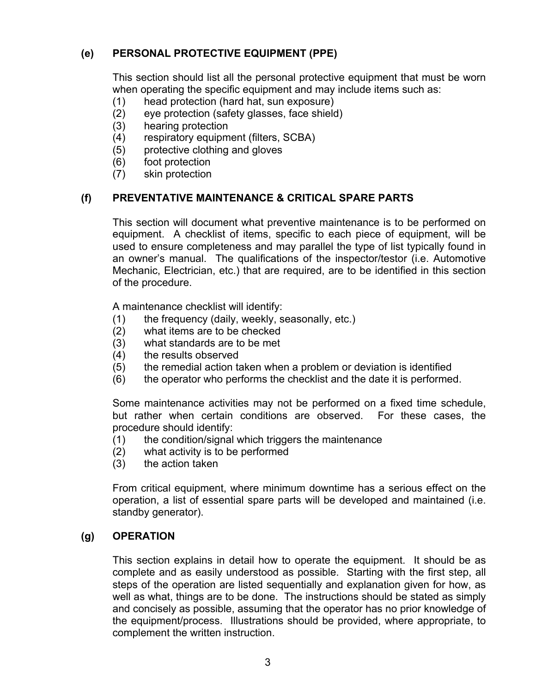# **(e) PERSONAL PROTECTIVE EQUIPMENT (PPE)**

This section should list all the personal protective equipment that must be worn when operating the specific equipment and may include items such as:

- (1) head protection (hard hat, sun exposure)
- (2) eye protection (safety glasses, face shield)
- (3) hearing protection
- (4) respiratory equipment (filters, SCBA)
- (5) protective clothing and gloves
- (6) foot protection
- (7) skin protection

# **(f) PREVENTATIVE MAINTENANCE & CRITICAL SPARE PARTS**

This section will document what preventive maintenance is to be performed on equipment. A checklist of items, specific to each piece of equipment, will be used to ensure completeness and may parallel the type of list typically found in an owner's manual. The qualifications of the inspector/testor (i.e. Automotive Mechanic, Electrician, etc.) that are required, are to be identified in this section of the procedure.

A maintenance checklist will identify:

- (1) the frequency (daily, weekly, seasonally, etc.)
- (2) what items are to be checked
- (3) what standards are to be met
- (4) the results observed
- (5) the remedial action taken when a problem or deviation is identified
- (6) the operator who performs the checklist and the date it is performed.

Some maintenance activities may not be performed on a fixed time schedule, but rather when certain conditions are observed. For these cases, the procedure should identify:

- (1) the condition/signal which triggers the maintenance
- (2) what activity is to be performed
- (3) the action taken

From critical equipment, where minimum downtime has a serious effect on the operation, a list of essential spare parts will be developed and maintained (i.e. standby generator).

## **(g) OPERATION**

This section explains in detail how to operate the equipment. It should be as complete and as easily understood as possible. Starting with the first step, all steps of the operation are listed sequentially and explanation given for how, as well as what, things are to be done. The instructions should be stated as simply and concisely as possible, assuming that the operator has no prior knowledge of the equipment/process. Illustrations should be provided, where appropriate, to complement the written instruction.